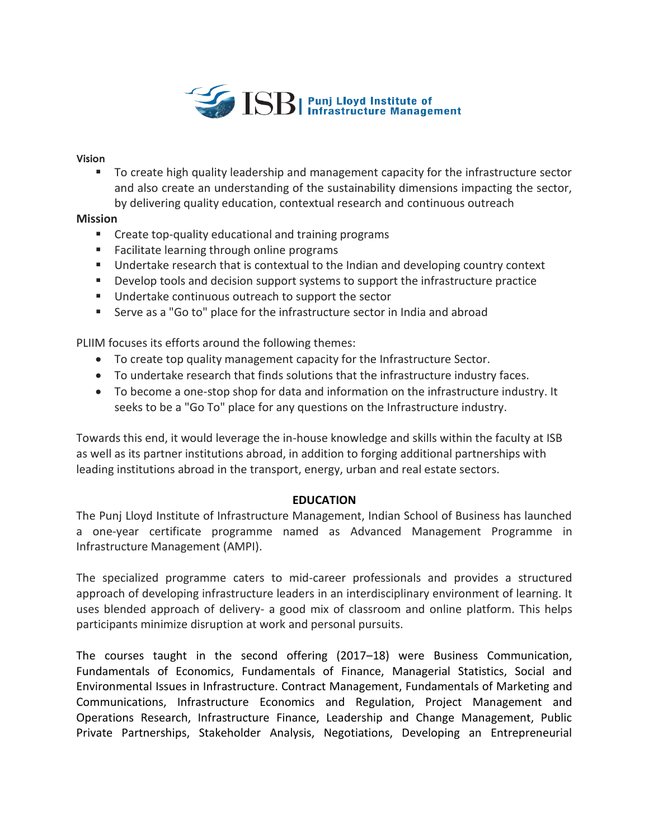

#### **Vision**

■ To create high quality leadership and management capacity for the infrastructure sector and also create an understanding of the sustainability dimensions impacting the sector, by delivering quality education, contextual research and continuous outreach

# **Mission**

- Create top-quality educational and training programs
- Facilitate learning through online programs
- Undertake research that is contextual to the Indian and developing country context
- Develop tools and decision support systems to support the infrastructure practice
- Undertake continuous outreach to support the sector
- Serve as a "Go to" place for the infrastructure sector in India and abroad

PLIIM focuses its efforts around the following themes:

- To create top quality management capacity for the Infrastructure Sector.
- To undertake research that finds solutions that the infrastructure industry faces.
- To become a one-stop shop for data and information on the infrastructure industry. It seeks to be a "Go To" place for any questions on the Infrastructure industry.

Towards this end, it would leverage the in-house knowledge and skills within the faculty at ISB as well as its partner institutions abroad, in addition to forging additional partnerships with leading institutions abroad in the transport, energy, urban and real estate sectors.

# **EDUCATION**

The Punj Lloyd Institute of Infrastructure Management, Indian School of Business has launched a one-year certificate programme named as Advanced Management Programme in Infrastructure Management (AMPI).

The specialized programme caters to mid-career professionals and provides a structured approach of developing infrastructure leaders in an interdisciplinary environment of learning. It uses blended approach of delivery- a good mix of classroom and online platform. This helps participants minimize disruption at work and personal pursuits.

The courses taught in the second offering (2017–18) were Business Communication, Fundamentals of Economics, Fundamentals of Finance, Managerial Statistics, Social and Environmental Issues in Infrastructure. Contract Management, Fundamentals of Marketing and Communications, Infrastructure Economics and Regulation, Project Management and Operations Research, Infrastructure Finance, Leadership and Change Management, Public Private Partnerships, Stakeholder Analysis, Negotiations, Developing an Entrepreneurial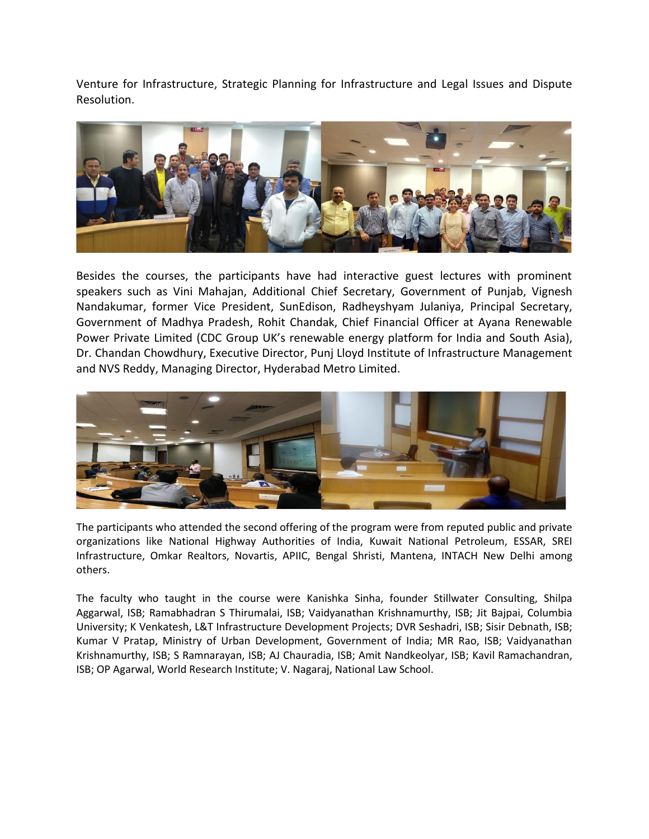Venture for Infrastructure, Strategic Planning for Infrastructure and Legal Issues and Dispute Resolution.



Besides the courses, the participants have had interactive guest lectures with prominent speakers such as Vini Mahajan, Additional Chief Secretary, Government of Punjab, Vignesh Nandakumar, former Vice President, SunEdison, Radheyshyam Julaniya, Principal Secretary, Government of Madhya Pradesh, Rohit Chandak, Chief Financial Officer at Ayana Renewable Power Private Limited (CDC Group UK's renewable energy platform for India and South Asia), Dr. Chandan Chowdhury, Executive Director, Punj Lloyd Institute of Infrastructure Management and NVS Reddy, Managing Director, Hyderabad Metro Limited.



The participants who attended the second offering of the program were from reputed public and private organizations like National Highway Authorities of India, Kuwait National Petroleum, ESSAR, SREI Infrastructure, Omkar Realtors, Novartis, APIIC, Bengal Shristi, Mantena, INTACH New Delhi among others.

The faculty who taught in the course were Kanishka Sinha, founder Stillwater Consulting, Shilpa Aggarwal, ISB; Ramabhadran S Thirumalai, ISB; Vaidyanathan Krishnamurthy, ISB; Jit Bajpai, Columbia University; K Venkatesh, L&T Infrastructure Development Projects; DVR Seshadri, ISB; Sisir Debnath, ISB; Kumar V Pratap, Ministry of Urban Development, Government of India; MR Rao, ISB; Vaidyanathan Krishnamurthy, ISB; S Ramnarayan, ISB; AJ Chauradia, ISB; Amit Nandkeolyar, ISB; Kavil Ramachandran, ISB; OP Agarwal, World Research Institute; V. Nagaraj, National Law School.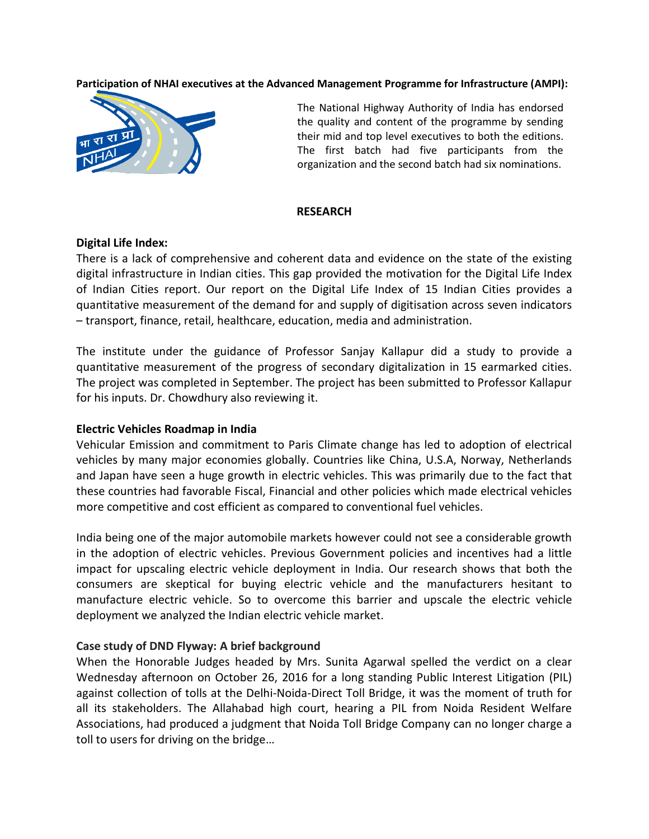#### **Participation of NHAI executives at the Advanced Management Programme for Infrastructure (AMPI):**



The National Highway Authority of India has endorsed the quality and content of the programme by sending their mid and top level executives to both the editions. The first batch had five participants from the organization and the second batch had six nominations.

#### **RESEARCH**

#### **Digital Life Index:**

There is a lack of comprehensive and coherent data and evidence on the state of the existing digital infrastructure in Indian cities. This gap provided the motivation for the Digital Life Index of Indian Cities report. Our report on the Digital Life Index of 15 Indian Cities provides a quantitative measurement of the demand for and supply of digitisation across seven indicators – transport, finance, retail, healthcare, education, media and administration.

The institute under the guidance of Professor Sanjay Kallapur did a study to provide a quantitative measurement of the progress of secondary digitalization in 15 earmarked cities. The project was completed in September. The project has been submitted to Professor Kallapur for his inputs. Dr. Chowdhury also reviewing it.

### **Electric Vehicles Roadmap in India**

Vehicular Emission and commitment to Paris Climate change has led to adoption of electrical vehicles by many major economies globally. Countries like China, U.S.A, Norway, Netherlands and Japan have seen a huge growth in electric vehicles. This was primarily due to the fact that these countries had favorable Fiscal, Financial and other policies which made electrical vehicles more competitive and cost efficient as compared to conventional fuel vehicles.

India being one of the major automobile markets however could not see a considerable growth in the adoption of electric vehicles. Previous Government policies and incentives had a little impact for upscaling electric vehicle deployment in India. Our research shows that both the consumers are skeptical for buying electric vehicle and the manufacturers hesitant to manufacture electric vehicle. So to overcome this barrier and upscale the electric vehicle deployment we analyzed the Indian electric vehicle market.

### **Case study of DND Flyway: A brief background**

When the Honorable Judges headed by Mrs. Sunita Agarwal spelled the verdict on a clear Wednesday afternoon on October 26, 2016 for a long standing Public Interest Litigation (PIL) against collection of tolls at the Delhi-Noida-Direct Toll Bridge, it was the moment of truth for all its stakeholders. The Allahabad high court, hearing a PIL from Noida Resident Welfare Associations, had produced a judgment that Noida Toll Bridge Company can no longer charge a toll to users for driving on the bridge…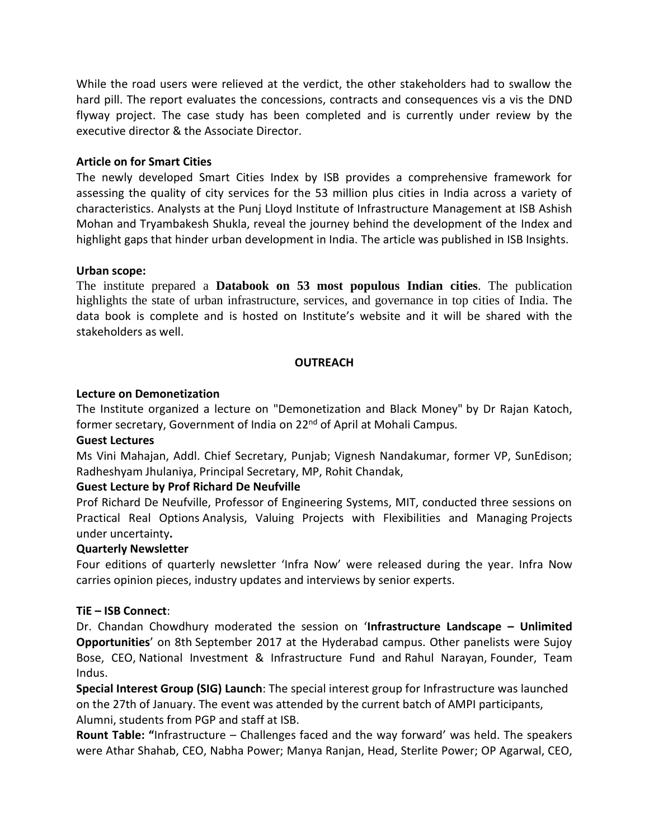While the road users were relieved at the verdict, the other stakeholders had to swallow the hard pill. The report evaluates the concessions, contracts and consequences vis a vis the DND flyway project. The case study has been completed and is currently under review by the executive director & the Associate Director.

# **Article on for Smart Cities**

The newly developed Smart Cities Index by ISB provides a comprehensive framework for assessing the quality of city services for the 53 million plus cities in India across a variety of characteristics. Analysts at the Punj Lloyd Institute of Infrastructure Management at ISB Ashish Mohan and Tryambakesh Shukla, reveal the journey behind the development of the Index and highlight gaps that hinder urban development in India. The article was published in ISB Insights.

# **Urban scope:**

The institute prepared a **Databook on 53 most populous Indian cities**. The publication highlights the state of urban infrastructure, services, and governance in top cities of India. The data book is complete and is hosted on Institute's website and it will be shared with the stakeholders as well.

# **OUTREACH**

# **Lecture on Demonetization**

The Institute organized a lecture on "Demonetization and Black Money" by Dr Rajan Katoch, former secretary, Government of India on 22<sup>nd</sup> of April at Mohali Campus.

### **Guest Lectures**

Ms Vini Mahajan, Addl. Chief Secretary, Punjab; Vignesh Nandakumar, former VP, SunEdison; Radheshyam Jhulaniya, Principal Secretary, MP, Rohit Chandak,

# **Guest Lecture by Prof Richard De Neufville**

Prof Richard De Neufville, Professor of Engineering Systems, MIT, conducted three sessions on Practical Real Options Analysis, Valuing Projects with Flexibilities and Managing Projects under uncertainty**.** 

### **Quarterly Newsletter**

Four editions of quarterly newsletter 'Infra Now' were released during the year. Infra Now carries opinion pieces, industry updates and interviews by senior experts.

### **TiE – ISB Connect**:

Dr. Chandan Chowdhury moderated the session on '**Infrastructure Landscape – Unlimited Opportunities**' on 8th September 2017 at the Hyderabad campus. Other panelists were Sujoy Bose, CEO, National Investment & Infrastructure Fund and Rahul Narayan, Founder, Team Indus.

**Special Interest Group (SIG) Launch**: The special interest group for Infrastructure was launched on the 27th of January. The event was attended by the current batch of AMPI participants, Alumni, students from PGP and staff at ISB.

**Rount Table: "**Infrastructure – Challenges faced and the way forward' was held. The speakers were Athar Shahab, CEO, Nabha Power; Manya Ranjan, Head, Sterlite Power; OP Agarwal, CEO,